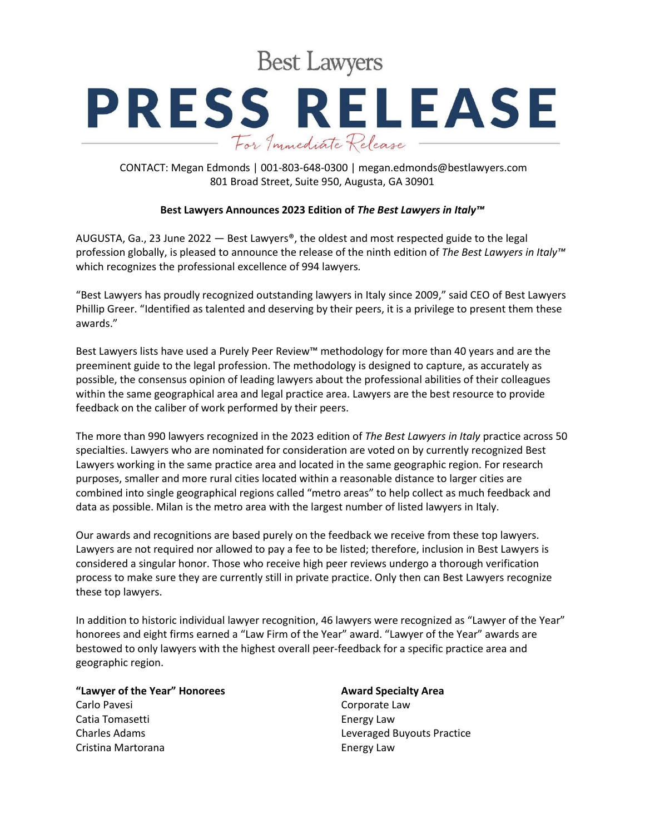**Best Lawyers** 

# **PRESS RELEASE** For Immediate Release

CONTACT: Megan Edmonds | 001-803-648-0300 | megan.edmonds@bestlawyers.com 801 Broad Street, Suite 950, Augusta, GA 30901

## **Best Lawyers Announces 2023 Edition of** *The Best Lawyers in Italy™*

AUGUSTA, Ga., 23 June 2022 — Best Lawyers®, the oldest and most respected guide to the legal profession globally, is pleased to announce the release of the ninth edition of *The Best Lawyers in Italy™* which recognizes the professional excellence of 994 lawyers*.*

"Best Lawyers has proudly recognized outstanding lawyers in Italy since 2009," said CEO of Best Lawyers Phillip Greer. "Identified as talented and deserving by their peers, it is a privilege to present them these awards."

Best Lawyers lists have used a Purely Peer Review™ methodology for more than 40 years and are the preeminent guide to the legal profession. The methodology is designed to capture, as accurately as possible, the consensus opinion of leading lawyers about the professional abilities of their colleagues within the same geographical area and legal practice area. Lawyers are the best resource to provide feedback on the caliber of work performed by their peers.

The more than 990 lawyers recognized in the 2023 edition of *The Best Lawyers in Italy* practice across 50 specialties. Lawyers who are nominated for consideration are voted on by currently recognized Best Lawyers working in the same practice area and located in the same geographic region. For research purposes, smaller and more rural cities located within a reasonable distance to larger cities are combined into single geographical regions called "metro areas" to help collect as much feedback and data as possible. Milan is the metro area with the largest number of listed lawyers in Italy.

Our awards and recognitions are based purely on the feedback we receive from these top lawyers. Lawyers are not required nor allowed to pay a fee to be listed; therefore, inclusion in Best Lawyers is considered a singular honor. Those who receive high peer reviews undergo a thorough verification process to make sure they are currently still in private practice. Only then can Best Lawyers recognize these top lawyers.

In addition to historic individual lawyer recognition, 46 lawyers were recognized as "Lawyer of the Year" honorees and eight firms earned a "Law Firm of the Year" award. "Lawyer of the Year" awards are bestowed to only lawyers with the highest overall peer-feedback for a specific practice area and geographic region.

# **"Lawyer of the Year" Honorees**

Carlo Pavesi Catia Tomasetti Charles Adams Cristina Martorana

# **Award Specialty Area**

Corporate Law Energy Law Leveraged Buyouts Practice Energy Law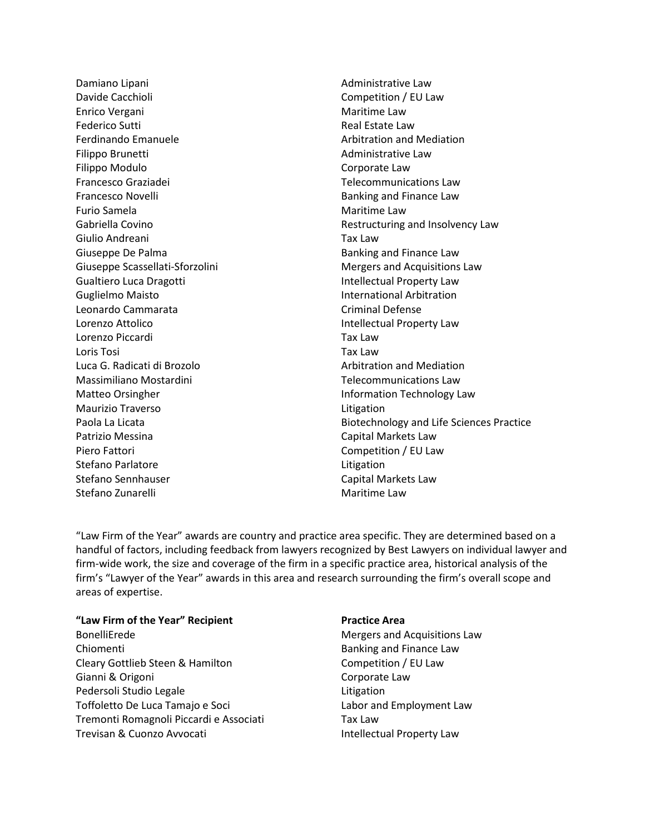Damiano Lipani Davide Cacchioli Enrico Vergani Federico Sutti Ferdinando Emanuele Filippo Brunetti Filippo Modulo Francesco Graziadei Francesco Novelli Furio Samela Gabriella Covino Giulio Andreani Giuseppe De Palma Giuseppe Scassellati-Sforzolini Gualtiero Luca Dragotti Guglielmo Maisto Leonardo Cammarata Lorenzo Attolico Lorenzo Piccardi Loris Tosi Luca G. Radicati di Brozolo Massimiliano Mostardini Matteo Orsingher Maurizio Traverso Paola La Licata Patrizio Messina Piero Fattori Stefano Parlatore Stefano Sennhauser Stefano Zunarelli

Administrative Law Competition / EU Law Maritime Law Real Estate Law Arbitration and Mediation Administrative Law Corporate Law Telecommunications Law Banking and Finance Law Maritime Law Restructuring and Insolvency Law Tax Law Banking and Finance Law Mergers and Acquisitions Law Intellectual Property Law International Arbitration Criminal Defense Intellectual Property Law Tax Law Tax Law Arbitration and Mediation Telecommunications Law Information Technology Law Litigation Biotechnology and Life Sciences Practice Capital Markets Law Competition / EU Law Litigation Capital Markets Law Maritime Law

"Law Firm of the Year" awards are country and practice area specific. They are determined based on a handful of factors, including feedback from lawyers recognized by Best Lawyers on individual lawyer and firm-wide work, the size and coverage of the firm in a specific practice area, historical analysis of the firm's "Lawyer of the Year" awards in this area and research surrounding the firm's overall scope and areas of expertise.

#### **"Law Firm of the Year" Recipient**

BonelliErede Chiomenti Cleary Gottlieb Steen & Hamilton Gianni & Origoni Pedersoli Studio Legale Toffoletto De Luca Tamajo e Soci Tremonti Romagnoli Piccardi e Associati Trevisan & Cuonzo Avvocati

#### **Practice Area**

Mergers and Acquisitions Law Banking and Finance Law Competition / EU Law Corporate Law Litigation Labor and Employment Law Tax Law Intellectual Property Law